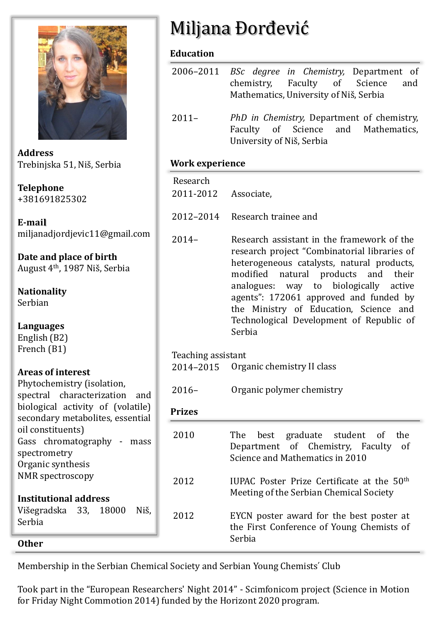

**Address** Trebinjska 51, Niš, Serbia

**Telephone** +381691825302

**E-mail** miljanadjordjevic11@gmail.com

**Date and place of birth** August 4th, 1987 Niš, Serbia

**Nationality** Serbian

**Languages** English (B2) French (B1)

#### **Areas of interest**

| Phytochemistry (isolation,        |  |  |  |  |
|-----------------------------------|--|--|--|--|
| spectral characterization and     |  |  |  |  |
| biological activity of (volatile) |  |  |  |  |
| secondary metabolites, essential  |  |  |  |  |
| oil constituents)                 |  |  |  |  |
| Gass chromatography - mass        |  |  |  |  |
| spectrometry                      |  |  |  |  |
| Organic synthesis                 |  |  |  |  |
| <b>NMR</b> spectroscopy           |  |  |  |  |
|                                   |  |  |  |  |
| <b>Institutional address</b>      |  |  |  |  |
| Višegradska 33, 18000<br>Niš.     |  |  |  |  |
| Serbia                            |  |  |  |  |
|                                   |  |  |  |  |

#### **Other**

Miljana Đorđević

## **Education**

| 2006–2011 <i>BSc degree in Chemistry</i> , Department of |                                            |  |  |  |  |                                        |  |
|----------------------------------------------------------|--------------------------------------------|--|--|--|--|----------------------------------------|--|
|                                                          |                                            |  |  |  |  | chemistry, Faculty of Science and      |  |
|                                                          |                                            |  |  |  |  | Mathematics, University of Niš, Serbia |  |
|                                                          |                                            |  |  |  |  |                                        |  |
| $2011 -$                                                 | PhD in Chemistry, Department of chemistry, |  |  |  |  |                                        |  |

Faculty of Science and Mathematics, University of Niš, Serbia

## **Work experience**

2011-2012 Associate, Research

2012–2014 Research trainee and

2014– Research assistant in the framework of the research project "Combinatorial libraries of heterogeneous catalysts, natural products, modified natural products and their analogues: way to biologically active agents": 172061 approved and funded by the Ministry of Education, Science and Technological Development of Republic of Serbia

Teaching assistant

Organic chemistry II class 2014–2015

Organic polymer chemistry 2016–

# **Prizes**

| 2010 | The best graduate student of<br>the<br>Department of Chemistry, Faculty of<br>Science and Mathematics in 2010 |
|------|---------------------------------------------------------------------------------------------------------------|
| 2012 | IUPAC Poster Prize Certificate at the 50 <sup>th</sup><br>Meeting of the Serbian Chemical Society             |
| 2012 | EYCN poster award for the best poster at<br>the First Conference of Young Chemists of<br>Serbia               |

Membership in the Serbian Chemical Society and Serbian Young Chemistsʹ Club

Took part in the "European Researchers' Night 2014" - Scimfonicom project (Science in Motion for Friday Night Commotion 2014) funded by the Horizont 2020 program.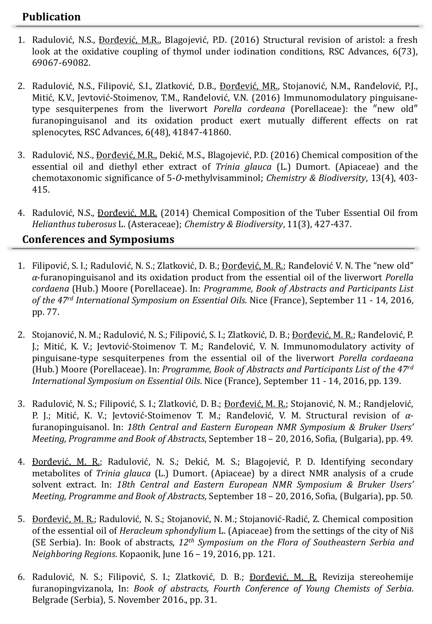### **Publication**

- 1. Radulović, N.S., Đorđević, M.R., Blagojević, P.D. (2016) Structural revision of aristol: a fresh look at the oxidative coupling of thymol under iodination conditions, RSC Advances, 6(73), 69067-69082.
- 2. Radulović, N.S., Filipović, S.I., Zlatković, D.B., *Đorđević, MR., Stojanović, N.M., Ranđelović, P.J.*, Mitić, K.V., Jevtović-Stoimenov, T.M., Ranđelović, V.N. (2016) Immunomodulatory pinguisanetype sesquiterpenes from the liverwort *Porella cordeana* (Porellaceae): the ″new old″ furanopinguisanol and its oxidation product exert mutually different effects on rat splenocytes, RSC Advances, 6(48), 41847-41860.
- 3. Radulović, N.S., Đorđević, M.R., Dekić, M.S., Blagojević, P.D. (2016) Chemical composition of the essential oil and diethyl ether extract of *Trinia glauca* (L.) Dumort. (Apiaceae) and the chemotaxonomic significance of 5-*O*-methylvisamminol; *Chemistry & Biodiversity*, 13(4), 403- 415.
- 4. Radulović, N.S., *Đorđević, M.R. (2014) Chemical Composition of the Tuber Essential Oil from Helianthus tuberosus* L. (Asteraceae); *Chemistry & Biodiversity*, 11(3), 427-437.

### **Conferences and Symposiums**

- 1. Filipović, S. I.; Radulović, N. S.; Zlatković, D. B.; Đorđević, M. R.; Ranđelović V. N. The "new old" *α*-furanopinguisanol and its oxidation product from the essential oil of the liverwort *Porella cordaena* (Hub.) Moore (Porellaceae). In: *Programme, Book of Abstracts and Participants List of the 47rd International Symposium on Essential Oils*. Nice (France), September 11 - 14, 2016, pp. 77.
- 2. Stojanović, N. M.; Radulović, N. S.; Filipović, S. I.; Zlatković, D. B.; <u>Đorđević, M. R.</u>; Ranđelović, P. J.; Mitić, K. V.; Jevtović-Stoimenov T. M.; Ranđelović, V. N. Immunomodulatory activity of pinguisane-type sesquiterpenes from the essential oil of the liverwort *Porella cordaeana* (Hub.) Moore (Porellaceae). In: *Programme, Book of Abstracts and Participants List of the 47rd International Symposium on Essential Oils*. Nice (France), September 11 - 14, 2016, pp. 139.
- 3. Radulović, N. S.; Filipović, S. I.; Zlatković, D. B.; *Đorđević, M. R.*; Stojanović, N. M.; Randjelović, P. J.; Mitić, K. V.; Jevtović-Stoimenov T. M.; Ranđelović, V. M. Structural revision of *α*furanopinguisanol. In: *18th Central and Eastern European NMR Symposium & Bruker Users' Meeting, Programme and Book of Abstracts*, September 18 – 20, 2016, Sofia, (Bulgaria), pp. 49.
- 4. Đorđević, M. R.; Radulović, N. S.; Dekić, M. S.; Blagojević, P. D. Identifying secondary metabolites of *Trinia glauca* (L.) Dumort. (Apiaceae) by a direct NMR analysis of a crude solvent extract. In: *18th Central and Eastern European NMR Symposium & Bruker Users' Meeting, Programme and Book of Abstracts*, September 18 – 20, 2016, Sofia, (Bulgaria), pp. 50.
- 5. Đorđević, M. R.; Radulović, N. S.; Stojanović, N. M.; Stojanović-Radić, Z. Chemical composition of the essential oil of *Heracleum sphondylium* L. (Apiaceae) from the settings of the city of Niš (SE Serbia). In: Book of abstracts, *12th Symposium on the Flora of Southeastern Serbia and Neighboring Regions*. Kopaonik, June 16 – 19, 2016, pp. 121.
- 6. Radulović, N. S.; Filipović, S. I.; Zlatković, D. B.; Đorđević, M. R. Revizija stereohemije furanopingvizanola, In: *Book of abstracts, Fourth Conference of Young Chemists of Serbia*. Belgrade (Serbia), 5. November 2016., pp. 31.